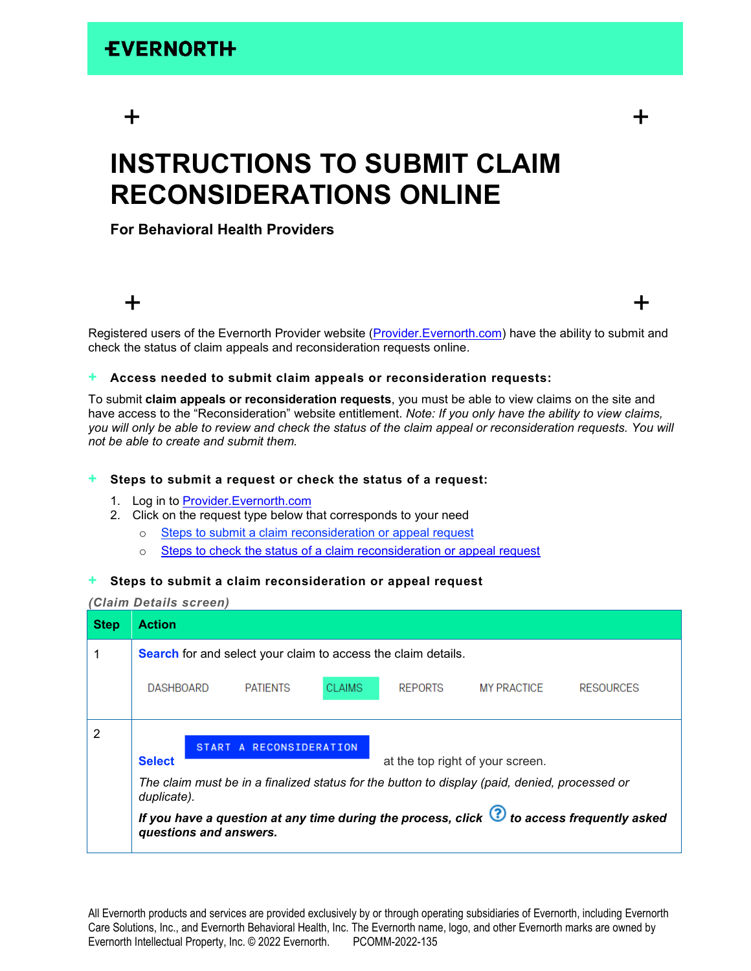$+$   $+$ 

# **INSTRUCTIONS TO SUBMIT CLAIM RECONSIDERATIONS ONLINE**

**For Behavioral Health Providers**

# $+$   $+$

Registered users of the Evernorth Provider website [\(Provider.Evernorth.com\)](https://provider.evernorth.com/app/login) have the ability to submit and check the status of claim appeals and reconsideration requests online.

## **+ Access needed to submit claim appeals or reconsideration requests:**

To submit **claim appeals or reconsideration requests**, you must be able to view claims on the site and have access to the "Reconsideration" website entitlement. *Note: If you only have the ability to view claims, you will only be able to review and check the status of the claim appeal or reconsideration requests. You will not be able to create and submit them.*

### **+ Steps to submit a request or check the status of a request:**

- 1. Log in to [Provider.Evernorth.com](https://provider.evernorth.com/app/login)
- 2. Click on the request type below that corresponds to your need
	- o [Steps to submit a claim reconsideration or appeal request](#page-0-0)
	- o [Steps to check the status of a claim reconsideration or appeal request](#page-3-0)

#### <span id="page-0-0"></span>**+ Steps to submit a claim reconsideration or appeal request**

*(Claim Details screen)*

| <b>Step</b> | <b>Action</b>                                                                                                                                                                                                                                |  |  |  |  |  |  |  |  |
|-------------|----------------------------------------------------------------------------------------------------------------------------------------------------------------------------------------------------------------------------------------------|--|--|--|--|--|--|--|--|
|             | <b>Search</b> for and select your claim to access the claim details.                                                                                                                                                                         |  |  |  |  |  |  |  |  |
|             | CLAIMS<br><b>DASHBOARD</b><br><b>MY PRACTICE</b><br><b>PATIENTS</b><br><b>REPORTS</b><br><b>RESOURCES</b>                                                                                                                                    |  |  |  |  |  |  |  |  |
| 2           |                                                                                                                                                                                                                                              |  |  |  |  |  |  |  |  |
|             | RECONSIDERATION<br><b>START</b><br><b>Select</b><br>at the top right of your screen.                                                                                                                                                         |  |  |  |  |  |  |  |  |
|             | The claim must be in a finalized status for the button to display (paid, denied, processed or<br>duplicate).<br>If you have a question at any time during the process, click $\bigcirc$ to access frequently asked<br>questions and answers. |  |  |  |  |  |  |  |  |
|             |                                                                                                                                                                                                                                              |  |  |  |  |  |  |  |  |

All Evernorth products and services are provided exclusively by or through operating subsidiaries of Evernorth, including Evernorth Care Solutions, Inc., and Evernorth Behavioral Health, Inc. The Evernorth name, logo, and other Evernorth marks are owned by Evernorth Intellectual Property, Inc. © 2022 Evernorth. PCOMM-2022-135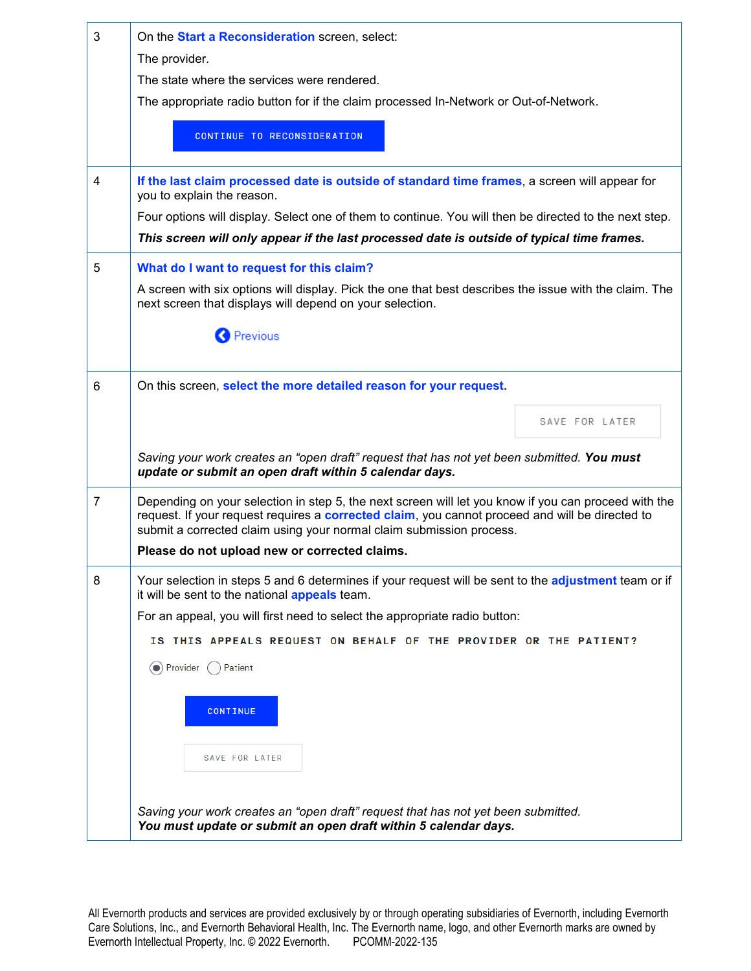| 3 | On the Start a Reconsideration screen, select:                                                                                                                                                                                                                                  |  |  |  |  |  |  |  |  |
|---|---------------------------------------------------------------------------------------------------------------------------------------------------------------------------------------------------------------------------------------------------------------------------------|--|--|--|--|--|--|--|--|
|   | The provider.                                                                                                                                                                                                                                                                   |  |  |  |  |  |  |  |  |
|   | The state where the services were rendered.                                                                                                                                                                                                                                     |  |  |  |  |  |  |  |  |
|   | The appropriate radio button for if the claim processed In-Network or Out-of-Network.                                                                                                                                                                                           |  |  |  |  |  |  |  |  |
|   | CONTINUE TO RECONSIDERATION                                                                                                                                                                                                                                                     |  |  |  |  |  |  |  |  |
| 4 | If the last claim processed date is outside of standard time frames, a screen will appear for<br>you to explain the reason.                                                                                                                                                     |  |  |  |  |  |  |  |  |
|   | Four options will display. Select one of them to continue. You will then be directed to the next step.                                                                                                                                                                          |  |  |  |  |  |  |  |  |
|   | This screen will only appear if the last processed date is outside of typical time frames.                                                                                                                                                                                      |  |  |  |  |  |  |  |  |
| 5 | What do I want to request for this claim?                                                                                                                                                                                                                                       |  |  |  |  |  |  |  |  |
|   | A screen with six options will display. Pick the one that best describes the issue with the claim. The<br>next screen that displays will depend on your selection.                                                                                                              |  |  |  |  |  |  |  |  |
|   | <b>O</b> Previous                                                                                                                                                                                                                                                               |  |  |  |  |  |  |  |  |
| 6 | On this screen, select the more detailed reason for your request.                                                                                                                                                                                                               |  |  |  |  |  |  |  |  |
|   | SAVE FOR LATER                                                                                                                                                                                                                                                                  |  |  |  |  |  |  |  |  |
|   | Saving your work creates an "open draft" request that has not yet been submitted. You must<br>update or submit an open draft within 5 calendar days.                                                                                                                            |  |  |  |  |  |  |  |  |
| 7 | Depending on your selection in step 5, the next screen will let you know if you can proceed with the<br>request. If your request requires a corrected claim, you cannot proceed and will be directed to<br>submit a corrected claim using your normal claim submission process. |  |  |  |  |  |  |  |  |
|   | Please do not upload new or corrected claims.                                                                                                                                                                                                                                   |  |  |  |  |  |  |  |  |
| 8 | Your selection in steps 5 and 6 determines if your request will be sent to the adjustment team or if<br>it will be sent to the national <b>appeals</b> team.                                                                                                                    |  |  |  |  |  |  |  |  |
|   | For an appeal, you will first need to select the appropriate radio button:                                                                                                                                                                                                      |  |  |  |  |  |  |  |  |
|   | IS THIS APPEALS REQUEST ON BEHALF OF THE PROVIDER OR THE PATIENT?                                                                                                                                                                                                               |  |  |  |  |  |  |  |  |
|   | $\circledbullet$ Provider<br>Patient                                                                                                                                                                                                                                            |  |  |  |  |  |  |  |  |
|   | <b>CONTINUE</b>                                                                                                                                                                                                                                                                 |  |  |  |  |  |  |  |  |
|   | SAVE FOR LATER                                                                                                                                                                                                                                                                  |  |  |  |  |  |  |  |  |
|   | Saving your work creates an "open draft" request that has not yet been submitted.<br>You must update or submit an open draft within 5 calendar days.                                                                                                                            |  |  |  |  |  |  |  |  |

All Evernorth products and services are provided exclusively by or through operating subsidiaries of Evernorth, including Evernorth Care Solutions, Inc., and Evernorth Behavioral Health, Inc. The Evernorth name, logo, and other Evernorth marks are owned by Evernorth Intellectual Property, Inc. © 2022 Evernorth. PCOMM-2022-135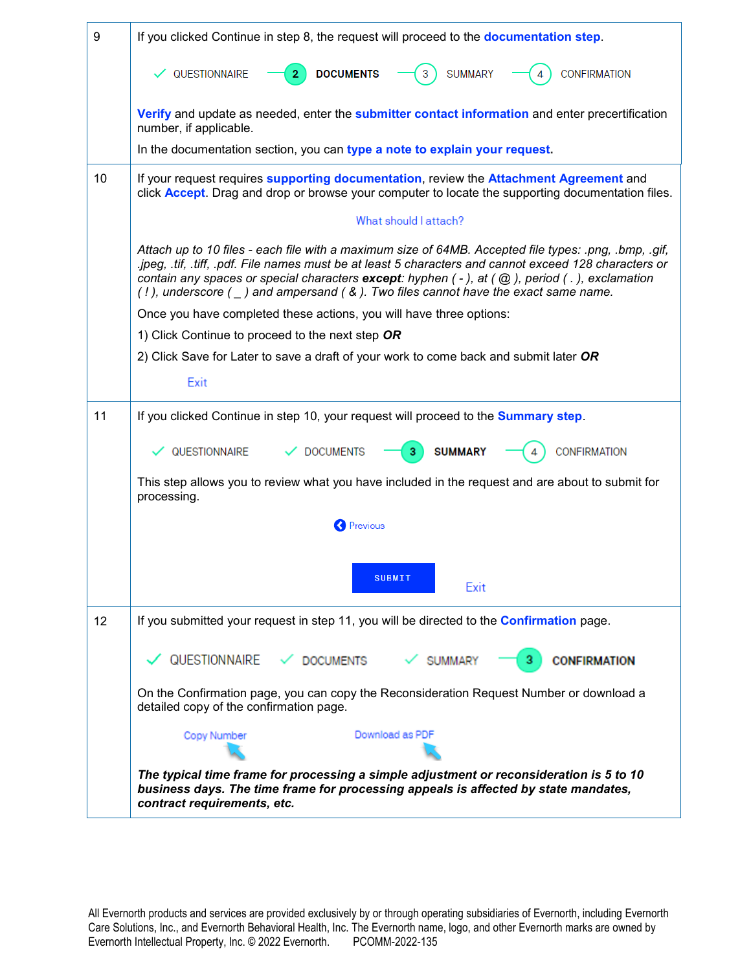| 9  | If you clicked Continue in step 8, the request will proceed to the <b>documentation step</b> .                                                                                                                                                                                                                                                                                                                             |  |  |  |  |  |  |  |  |
|----|----------------------------------------------------------------------------------------------------------------------------------------------------------------------------------------------------------------------------------------------------------------------------------------------------------------------------------------------------------------------------------------------------------------------------|--|--|--|--|--|--|--|--|
|    | <b>DOCUMENTS</b><br><b>SUMMARY</b><br><b>CONFIRMATION</b><br>QUESTIONNAIRE<br>2.                                                                                                                                                                                                                                                                                                                                           |  |  |  |  |  |  |  |  |
|    | Verify and update as needed, enter the submitter contact information and enter precertification<br>number, if applicable.                                                                                                                                                                                                                                                                                                  |  |  |  |  |  |  |  |  |
|    | In the documentation section, you can type a note to explain your request.                                                                                                                                                                                                                                                                                                                                                 |  |  |  |  |  |  |  |  |
| 10 | If your request requires supporting documentation, review the Attachment Agreement and<br>click Accept. Drag and drop or browse your computer to locate the supporting documentation files.                                                                                                                                                                                                                                |  |  |  |  |  |  |  |  |
|    | What should I attach?                                                                                                                                                                                                                                                                                                                                                                                                      |  |  |  |  |  |  |  |  |
|    | Attach up to 10 files - each file with a maximum size of 64MB. Accepted file types: .png, .bmp, .gif,<br>jpeg, .tif, .tiff, .pdf. File names must be at least 5 characters and cannot exceed 128 characters or<br>contain any spaces or special characters except: hyphen $(-)$ , at $(\omega)$ , period $(.)$ , exclamation<br>$(!)$ , underscore $( )$ and ampersand $( 8)$ . Two files cannot have the exact same name. |  |  |  |  |  |  |  |  |
|    | Once you have completed these actions, you will have three options:                                                                                                                                                                                                                                                                                                                                                        |  |  |  |  |  |  |  |  |
|    | 1) Click Continue to proceed to the next step OR                                                                                                                                                                                                                                                                                                                                                                           |  |  |  |  |  |  |  |  |
|    | 2) Click Save for Later to save a draft of your work to come back and submit later OR                                                                                                                                                                                                                                                                                                                                      |  |  |  |  |  |  |  |  |
|    | Exit                                                                                                                                                                                                                                                                                                                                                                                                                       |  |  |  |  |  |  |  |  |
| 11 | If you clicked Continue in step 10, your request will proceed to the <b>Summary step</b> .                                                                                                                                                                                                                                                                                                                                 |  |  |  |  |  |  |  |  |
|    | <b>SUMMARY</b><br><b>CONFIRMATION</b><br>QUESTIONNAIRE<br>DOCUMENTS                                                                                                                                                                                                                                                                                                                                                        |  |  |  |  |  |  |  |  |
|    | This step allows you to review what you have included in the request and are about to submit for<br>processing.                                                                                                                                                                                                                                                                                                            |  |  |  |  |  |  |  |  |
|    | <b>C</b> Previous                                                                                                                                                                                                                                                                                                                                                                                                          |  |  |  |  |  |  |  |  |
|    |                                                                                                                                                                                                                                                                                                                                                                                                                            |  |  |  |  |  |  |  |  |
|    | <b>SUBMIT</b><br>Exit                                                                                                                                                                                                                                                                                                                                                                                                      |  |  |  |  |  |  |  |  |
| 12 | If you submitted your request in step 11, you will be directed to the <b>Confirmation</b> page.                                                                                                                                                                                                                                                                                                                            |  |  |  |  |  |  |  |  |
|    | QUESTIONNAIRE<br><b>CONFIRMATION</b><br><b>DOCUMENTS</b><br><b>SUMMARY</b>                                                                                                                                                                                                                                                                                                                                                 |  |  |  |  |  |  |  |  |
|    | On the Confirmation page, you can copy the Reconsideration Request Number or download a<br>detailed copy of the confirmation page.                                                                                                                                                                                                                                                                                         |  |  |  |  |  |  |  |  |
|    | Download as PDF<br>Copy Number                                                                                                                                                                                                                                                                                                                                                                                             |  |  |  |  |  |  |  |  |
|    | The typical time frame for processing a simple adjustment or reconsideration is 5 to 10<br>business days. The time frame for processing appeals is affected by state mandates,<br>contract requirements, etc.                                                                                                                                                                                                              |  |  |  |  |  |  |  |  |

All Evernorth products and services are provided exclusively by or through operating subsidiaries of Evernorth, including Evernorth Care Solutions, Inc., and Evernorth Behavioral Health, Inc. The Evernorth name, logo, and other Evernorth marks are owned by Evernorth Intellectual Property, Inc. © 2022 Evernorth. PCOMM-2022-135